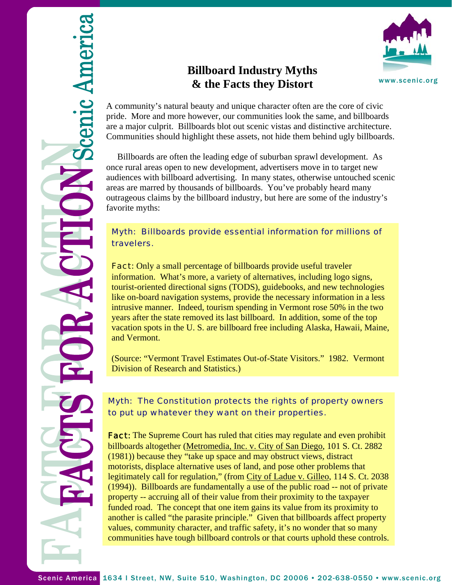

# **Billboard Industry Myths & the Facts they Distort**



A community's natural beauty and unique character often are the core of civic pride. More and more however, our communities look the same, and billboards are a major culprit. Billboards blot out scenic vistas and distinctive architecture. Communities should highlight these assets, not hide them behind ugly billboards.

 Billboards are often the leading edge of suburban sprawl development. As once rural areas open to new development, advertisers move in to target new audiences with billboard advertising. In many states, otherwise untouched scenic areas are marred by thousands of billboards. You've probably heard many outrageous claims by the billboard industry, but here are some of the industry's favorite myths:

#### Myth: Billboards provide essential information for millions of travelers.

**Fact:** Only a small percentage of billboards provide useful traveler information. What's more, a variety of alternatives, including logo signs, tourist-oriented directional signs (TODS), guidebooks, and new technologies like on-board navigation systems, provide the necessary information in a less intrusive manner. Indeed, tourism spending in Vermont rose 50% in the two years after the state removed its last billboard. In addition, some of the top vacation spots in the U. S. are billboard free including Alaska, Hawaii, Maine, and Vermont.

(Source: "Vermont Travel Estimates Out-of-State Visitors." 1982. Vermont Division of Research and Statistics.)

### Myth: The Constitution protects the rights of property owners to put up whatever they want on their properties.

**Fact:** The Supreme Court has ruled that cities may regulate and even prohibit billboards altogether (Metromedia, Inc. v. City of San Diego, 101 S. Ct. 2882 (1981)) because they "take up space and may obstruct views, distract motorists, displace alternative uses of land, and pose other problems that legitimately call for regulation," (from City of Ladue v. Gilleo, 114 S. Ct. 2038) (1994)). Billboards are fundamentally a use of the public road -- not of private property -- accruing all of their value from their proximity to the taxpayer funded road. The concept that one item gains its value from its proximity to another is called "the parasite principle." Given that billboards affect property values, community character, and traffic safety, it's no wonder that so many communities have tough billboard controls or that courts uphold these controls.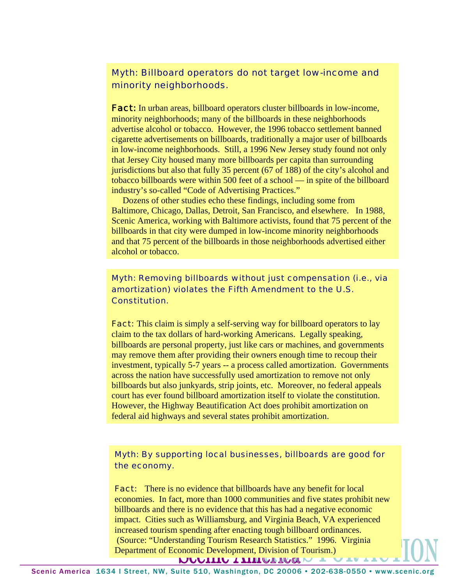## Myth: Billboard operators do not target low-income and minority neighborhoods.

**Fact:** In urban areas, billboard operators cluster billboards in low-income, minority neighborhoods; many of the billboards in these neighborhoods advertise alcohol or tobacco. However, the 1996 tobacco settlement banned cigarette advertisements on billboards, traditionally a major user of billboards in low-income neighborhoods. Still, a 1996 New Jersey study found not only that Jersey City housed many more billboards per capita than surrounding jurisdictions but also that fully 35 percent (67 of 188) of the city's alcohol and tobacco billboards were within 500 feet of a school — in spite of the billboard industry's so-called "Code of Advertising Practices."

 Dozens of other studies echo these findings, including some from Baltimore, Chicago, Dallas, Detroit, San Francisco, and elsewhere. In 1988, Scenic America, working with Baltimore activists, found that 75 percent of the billboards in that city were dumped in low-income minority neighborhoods and that 75 percent of the billboards in those neighborhoods advertised either alcohol or tobacco.

#### Myth: Removing billboards without just compensation (i.e., via amortization) violates the Fifth Amendment to the U.S. Constitution.

**Fact:** This claim is simply a self-serving way for billboard operators to lay claim to the tax dollars of hard-working Americans. Legally speaking, billboards are personal property, just like cars or machines, and governments may remove them after providing their owners enough time to recoup their investment, typically 5-7 years -- a process called amortization. Governments across the nation have successfully used amortization to remove not only billboards but also junkyards, strip joints, etc. Moreover, no federal appeals court has ever found billboard amortization itself to violate the constitution. However, the Highway Beautification Act does prohibit amortization on federal aid highways and several states prohibit amortization.

#### Myth: By supporting local businesses, billboards are good for the economy.

**Fact:** There is no evidence that billboards have any benefit for local economies. In fact, more than 1000 communities and five states prohibit new billboards and there is no evidence that this has had a negative economic impact. Cities such as Williamsburg, and Virginia Beach, VA experienced increased tourism spending after enacting tough billboard ordinances. (Source: "Understanding Tourism Research Statistics." 1996. Virginia Department of Economic Development, Division of Tourism.)MAATITA TTITIMTIMOIM TATA

Scenic America 1634 I Street, NW, Suite 510, Washington, DC 20006 • 202-638-0550 • www.scenic.org